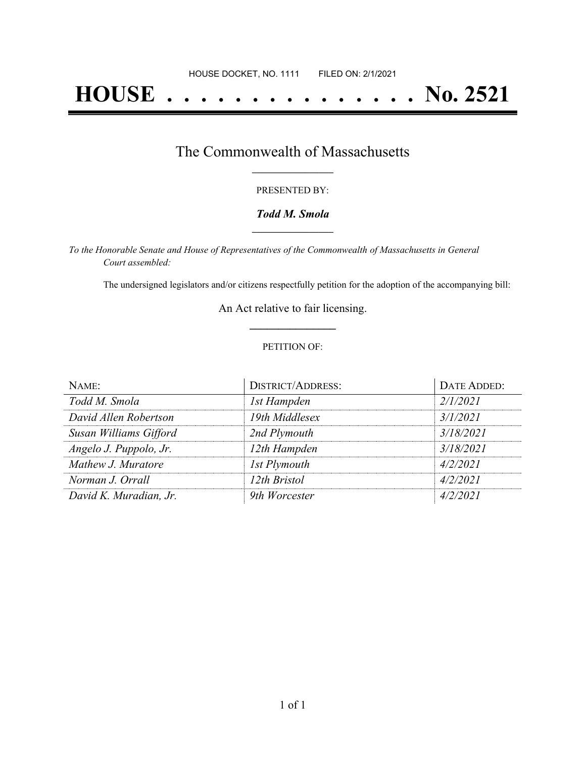# **HOUSE . . . . . . . . . . . . . . . No. 2521**

### The Commonwealth of Massachusetts **\_\_\_\_\_\_\_\_\_\_\_\_\_\_\_\_\_**

#### PRESENTED BY:

#### *Todd M. Smola* **\_\_\_\_\_\_\_\_\_\_\_\_\_\_\_\_\_**

*To the Honorable Senate and House of Representatives of the Commonwealth of Massachusetts in General Court assembled:*

The undersigned legislators and/or citizens respectfully petition for the adoption of the accompanying bill:

An Act relative to fair licensing. **\_\_\_\_\_\_\_\_\_\_\_\_\_\_\_**

#### PETITION OF:

| NAME:                  | <b>DISTRICT/ADDRESS:</b> | DATE ADDED: |
|------------------------|--------------------------|-------------|
| Todd M. Smola          | 1st Hampden              | 2/1/2021    |
| David Allen Robertson  | 19th Middlesex           | 3/1/2021    |
| Susan Williams Gifford | 2nd Plymouth             | 3/18/2021   |
| Angelo J. Puppolo, Jr. | 12th Hampden             | 3/18/2021   |
| Mathew J. Muratore     | 1st Plymouth             | 4/2/2021    |
| Norman J. Orrall       | 12th Bristol             | 4/2/2021    |
| David K. Muradian, Jr. | 9th Worcester            | 4/2/2021    |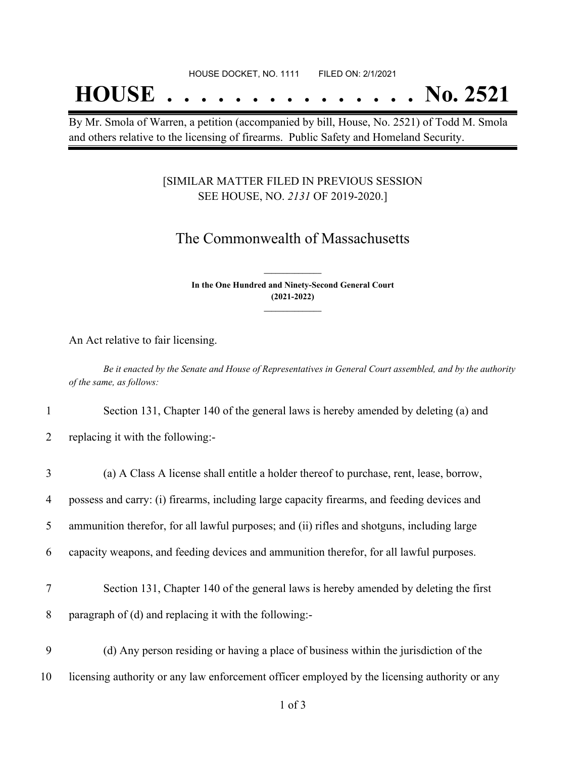#### HOUSE DOCKET, NO. 1111 FILED ON: 2/1/2021

## **HOUSE . . . . . . . . . . . . . . . No. 2521**

By Mr. Smola of Warren, a petition (accompanied by bill, House, No. 2521) of Todd M. Smola and others relative to the licensing of firearms. Public Safety and Homeland Security.

#### [SIMILAR MATTER FILED IN PREVIOUS SESSION SEE HOUSE, NO. *2131* OF 2019-2020.]

## The Commonwealth of Massachusetts

**In the One Hundred and Ninety-Second General Court (2021-2022) \_\_\_\_\_\_\_\_\_\_\_\_\_\_\_**

**\_\_\_\_\_\_\_\_\_\_\_\_\_\_\_**

An Act relative to fair licensing.

Be it enacted by the Senate and House of Representatives in General Court assembled, and by the authority *of the same, as follows:*

1 Section 131, Chapter 140 of the general laws is hereby amended by deleting (a) and

2 replacing it with the following:-

| 3  | (a) A Class A license shall entitle a holder thereof to purchase, rent, lease, borrow,        |
|----|-----------------------------------------------------------------------------------------------|
| 4  | possess and carry: (i) firearms, including large capacity firearms, and feeding devices and   |
| 5  | ammunition therefor, for all lawful purposes; and (ii) rifles and shotguns, including large   |
| 6  | capacity weapons, and feeding devices and ammunition therefor, for all lawful purposes.       |
| 7  | Section 131, Chapter 140 of the general laws is hereby amended by deleting the first          |
|    |                                                                                               |
| 8  | paragraph of (d) and replacing it with the following:-                                        |
| 9  | (d) Any person residing or having a place of business within the jurisdiction of the          |
| 10 | licensing authority or any law enforcement officer employed by the licensing authority or any |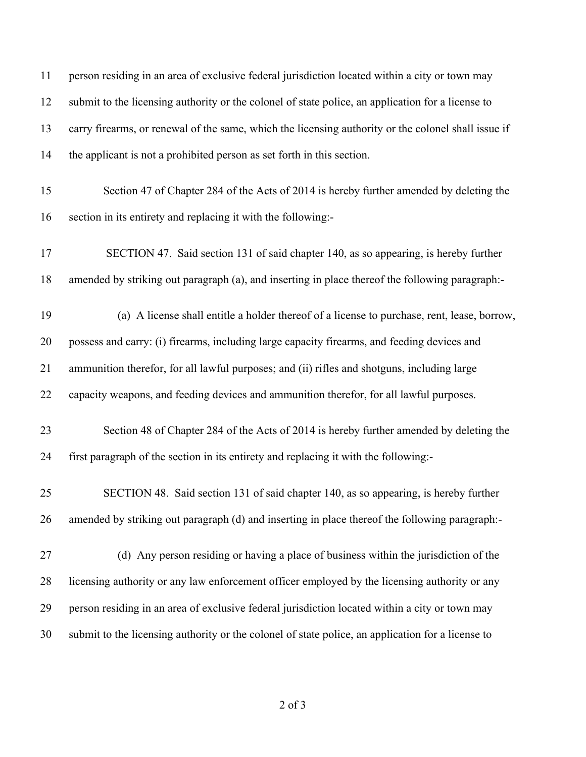| 11 | person residing in an area of exclusive federal jurisdiction located within a city or town may      |
|----|-----------------------------------------------------------------------------------------------------|
| 12 | submit to the licensing authority or the colonel of state police, an application for a license to   |
| 13 | carry firearms, or renewal of the same, which the licensing authority or the colonel shall issue if |
| 14 | the applicant is not a prohibited person as set forth in this section.                              |
| 15 | Section 47 of Chapter 284 of the Acts of 2014 is hereby further amended by deleting the             |
| 16 | section in its entirety and replacing it with the following:-                                       |
| 17 | SECTION 47. Said section 131 of said chapter 140, as so appearing, is hereby further                |
| 18 | amended by striking out paragraph (a), and inserting in place thereof the following paragraph:-     |
| 19 | (a) A license shall entitle a holder thereof of a license to purchase, rent, lease, borrow,         |
| 20 | possess and carry: (i) firearms, including large capacity firearms, and feeding devices and         |
| 21 | ammunition therefor, for all lawful purposes; and (ii) rifles and shotguns, including large         |
| 22 | capacity weapons, and feeding devices and ammunition therefor, for all lawful purposes.             |
| 23 | Section 48 of Chapter 284 of the Acts of 2014 is hereby further amended by deleting the             |
| 24 | first paragraph of the section in its entirety and replacing it with the following:-                |
| 25 | SECTION 48. Said section 131 of said chapter 140, as so appearing, is hereby further                |
| 26 | amended by striking out paragraph (d) and inserting in place thereof the following paragraph:-      |
| 27 | (d) Any person residing or having a place of business within the jurisdiction of the                |
| 28 | licensing authority or any law enforcement officer employed by the licensing authority or any       |
| 29 | person residing in an area of exclusive federal jurisdiction located within a city or town may      |
| 30 | submit to the licensing authority or the colonel of state police, an application for a license to   |

of 3